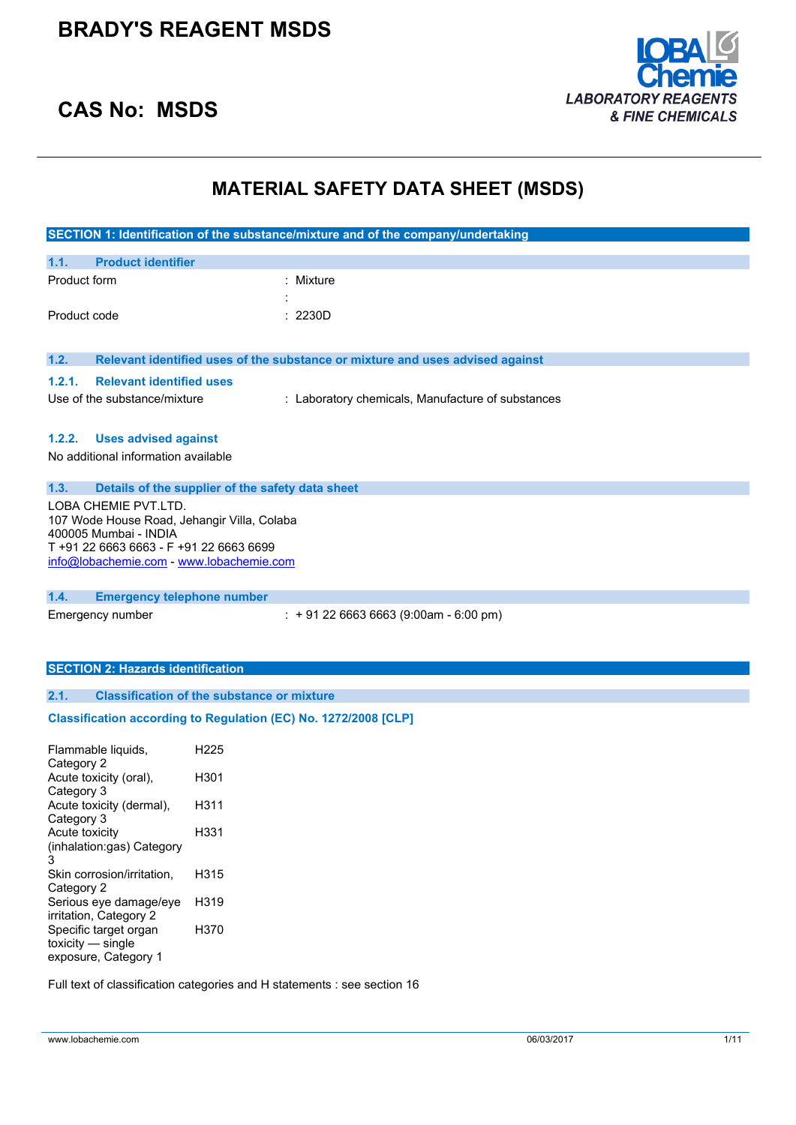

### **CAS No: MSDS**

## **MATERIAL SAFETY DATA SHEET (MSDS)**

| SECTION 1: Identification of the substance/mixture and of the company/undertaking |                                                                               |  |  |
|-----------------------------------------------------------------------------------|-------------------------------------------------------------------------------|--|--|
| 1.1.<br><b>Product identifier</b>                                                 |                                                                               |  |  |
| Product form                                                                      | : Mixture                                                                     |  |  |
|                                                                                   |                                                                               |  |  |
| Product code                                                                      | : 2230D                                                                       |  |  |
|                                                                                   |                                                                               |  |  |
| 1.2.                                                                              | Relevant identified uses of the substance or mixture and uses advised against |  |  |
| 1.2.1.<br><b>Relevant identified uses</b>                                         |                                                                               |  |  |
| Use of the substance/mixture                                                      | : Laboratory chemicals, Manufacture of substances                             |  |  |
|                                                                                   |                                                                               |  |  |
| 1.2.2.<br><b>Uses advised against</b>                                             |                                                                               |  |  |
| No additional information available                                               |                                                                               |  |  |
| 1.3.                                                                              | Details of the supplier of the safety data sheet                              |  |  |
| LOBA CHEMIE PVT.LTD.                                                              |                                                                               |  |  |
| 107 Wode House Road, Jehangir Villa, Colaba<br>400005 Mumbai - INDIA              |                                                                               |  |  |
| T +91 22 6663 6663 - F +91 22 6663 6699                                           |                                                                               |  |  |
| info@lobachemie.com - www.lobachemie.com                                          |                                                                               |  |  |
|                                                                                   |                                                                               |  |  |
| 1.4.<br><b>Emergency telephone number</b><br>Emergency number                     | $: +912266636663(9:00am - 6:00 pm)$                                           |  |  |
|                                                                                   |                                                                               |  |  |
|                                                                                   |                                                                               |  |  |
| <b>SECTION 2: Hazards identification</b>                                          |                                                                               |  |  |
| 2.1.                                                                              | <b>Classification of the substance or mixture</b>                             |  |  |
|                                                                                   | Classification according to Regulation (EC) No. 1272/2008 [CLP]               |  |  |
|                                                                                   |                                                                               |  |  |
| Flammable liquids,                                                                | H <sub>225</sub>                                                              |  |  |
| Category 2<br>Acute toxicity (oral),                                              | H301                                                                          |  |  |
| Category 3                                                                        |                                                                               |  |  |
| Acute toxicity (dermal),<br>Category 3                                            | H311                                                                          |  |  |
| Acute toxicity                                                                    | H331                                                                          |  |  |
| (inhalation:gas) Category                                                         |                                                                               |  |  |
| 3<br>Skin corrosion/irritation,                                                   | H315                                                                          |  |  |
| Category 2                                                                        |                                                                               |  |  |
| Serious eye damage/eye<br>irritation, Category 2                                  | H319                                                                          |  |  |
| Specific target organ<br>$toxicity$ - single                                      | H370                                                                          |  |  |

Full text of classification categories and H statements : see section 16

exposure, Category 1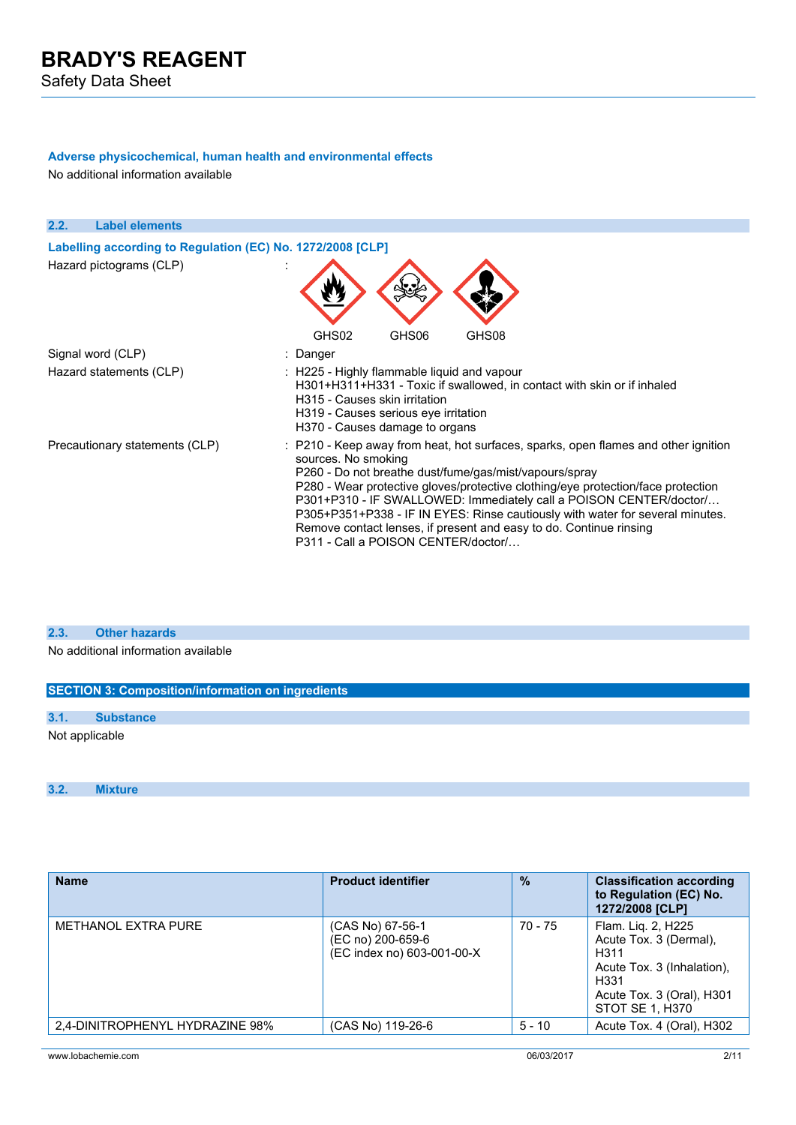Safety Data Sheet

### **Adverse physicochemical, human health and environmental effects**

No additional information available

| 2.2.<br><b>Label elements</b>                              |                                                                                                                                                                                                                                                                                                                                                                                                                                                                                                                             |  |
|------------------------------------------------------------|-----------------------------------------------------------------------------------------------------------------------------------------------------------------------------------------------------------------------------------------------------------------------------------------------------------------------------------------------------------------------------------------------------------------------------------------------------------------------------------------------------------------------------|--|
| Labelling according to Regulation (EC) No. 1272/2008 [CLP] |                                                                                                                                                                                                                                                                                                                                                                                                                                                                                                                             |  |
| Hazard pictograms (CLP)                                    |                                                                                                                                                                                                                                                                                                                                                                                                                                                                                                                             |  |
|                                                            | GHS02<br>GHS06<br>GHS08                                                                                                                                                                                                                                                                                                                                                                                                                                                                                                     |  |
| Signal word (CLP)                                          | : Danger                                                                                                                                                                                                                                                                                                                                                                                                                                                                                                                    |  |
| Hazard statements (CLP)                                    | : H225 - Highly flammable liquid and vapour<br>H301+H311+H331 - Toxic if swallowed, in contact with skin or if inhaled<br>H315 - Causes skin irritation<br>H319 - Causes serious eye irritation<br>H370 - Causes damage to organs                                                                                                                                                                                                                                                                                           |  |
| Precautionary statements (CLP)                             | : P210 - Keep away from heat, hot surfaces, sparks, open flames and other ignition<br>sources. No smoking<br>P260 - Do not breathe dust/fume/gas/mist/vapours/spray<br>P280 - Wear protective gloves/protective clothing/eye protection/face protection<br>P301+P310 - IF SWALLOWED: Immediately call a POISON CENTER/doctor/<br>P305+P351+P338 - IF IN EYES: Rinse cautiously with water for several minutes.<br>Remove contact lenses, if present and easy to do. Continue rinsing<br>P311 - Call a POISON CENTER/doctor/ |  |

### **2.3. Other hazards**

No additional information available

| <b>SECTION 3: Composition/information on ingredients</b> |                  |  |  |
|----------------------------------------------------------|------------------|--|--|
|                                                          |                  |  |  |
| 3.1.                                                     | <b>Substance</b> |  |  |
| Not applicable                                           |                  |  |  |

#### **3.2. Mixture**

| <b>Name</b>                     | <b>Product identifier</b>                                           | $\frac{0}{0}$ | <b>Classification according</b><br>to Regulation (EC) No.<br>1272/2008 [CLP]                                                               |
|---------------------------------|---------------------------------------------------------------------|---------------|--------------------------------------------------------------------------------------------------------------------------------------------|
| <b>METHANOL EXTRA PURE</b>      | (CAS No) 67-56-1<br>(EC no) 200-659-6<br>(EC index no) 603-001-00-X | 70 - 75       | Flam. Lig. 2, H225<br>Acute Tox. 3 (Dermal),<br>H311<br>Acute Tox. 3 (Inhalation).<br>H331<br>Acute Tox. 3 (Oral), H301<br>STOT SE 1, H370 |
| 2.4-DINITROPHENYL HYDRAZINE 98% | (CAS No) 119-26-6                                                   | $5 - 10$      | Acute Tox. 4 (Oral), H302                                                                                                                  |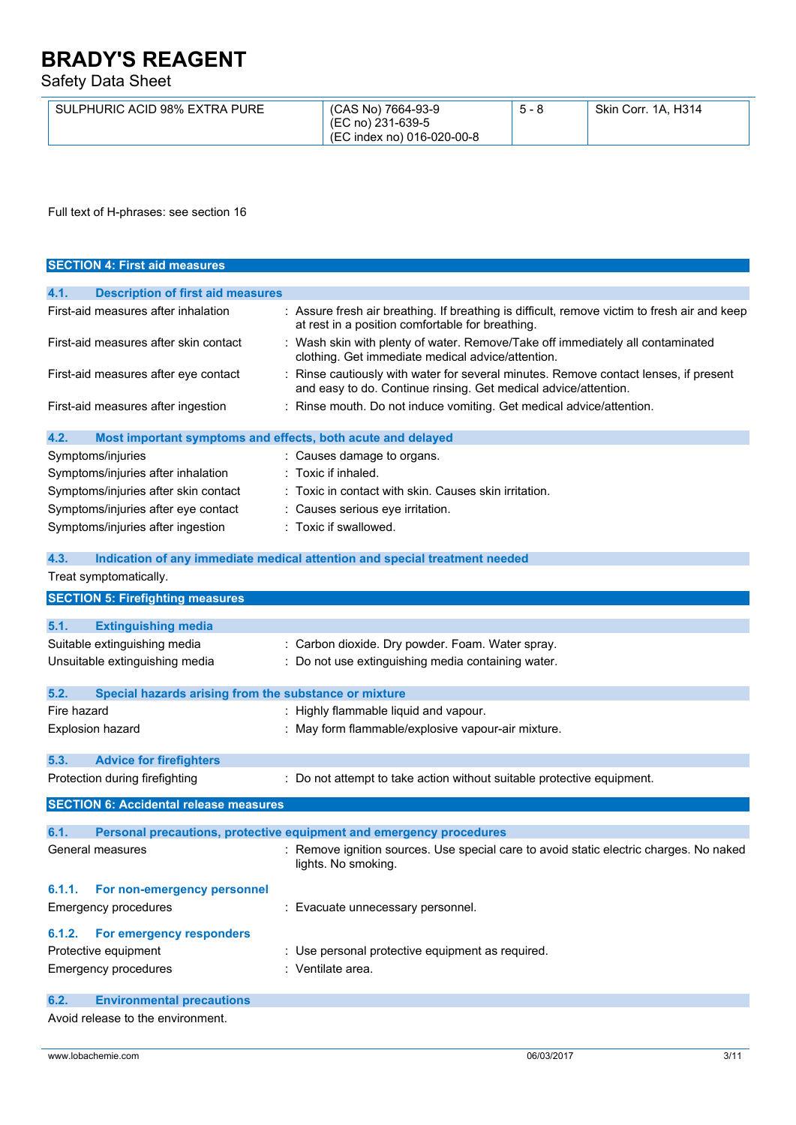Safety Data Sheet

| SULPHURIC ACID 98% EXTRA PURE | (CAS No) 7664-93-9<br>(EC no) 231-639-5<br>(EC index no) 016-020-00-8 | $5 - 8$ | Skin Corr. 1A, H314 |
|-------------------------------|-----------------------------------------------------------------------|---------|---------------------|
|-------------------------------|-----------------------------------------------------------------------|---------|---------------------|

Full text of H-phrases: see section 16

| <b>SECTION 4: First aid measures</b>                                |                                                                                                                                                       |
|---------------------------------------------------------------------|-------------------------------------------------------------------------------------------------------------------------------------------------------|
|                                                                     |                                                                                                                                                       |
| 4.1.<br><b>Description of first aid measures</b>                    |                                                                                                                                                       |
| First-aid measures after inhalation                                 | : Assure fresh air breathing. If breathing is difficult, remove victim to fresh air and keep<br>at rest in a position comfortable for breathing.      |
| First-aid measures after skin contact                               | Wash skin with plenty of water. Remove/Take off immediately all contaminated<br>clothing. Get immediate medical advice/attention.                     |
| First-aid measures after eye contact                                | Rinse cautiously with water for several minutes. Remove contact lenses, if present<br>and easy to do. Continue rinsing. Get medical advice/attention. |
| First-aid measures after ingestion                                  | Rinse mouth. Do not induce vomiting. Get medical advice/attention.                                                                                    |
| 4.2.<br>Most important symptoms and effects, both acute and delayed |                                                                                                                                                       |
| Symptoms/injuries                                                   | : Causes damage to organs.                                                                                                                            |
| Symptoms/injuries after inhalation                                  | : Toxic if inhaled.                                                                                                                                   |
| Symptoms/injuries after skin contact                                | : Toxic in contact with skin. Causes skin irritation.                                                                                                 |
| Symptoms/injuries after eye contact                                 | Causes serious eye irritation.                                                                                                                        |
| Symptoms/injuries after ingestion                                   | : Toxic if swallowed.                                                                                                                                 |
|                                                                     |                                                                                                                                                       |
| 4.3.                                                                | Indication of any immediate medical attention and special treatment needed                                                                            |
| Treat symptomatically.                                              |                                                                                                                                                       |
| <b>SECTION 5: Firefighting measures</b>                             |                                                                                                                                                       |
|                                                                     |                                                                                                                                                       |
| 5.1.<br><b>Extinguishing media</b>                                  |                                                                                                                                                       |
| Suitable extinguishing media                                        | : Carbon dioxide. Dry powder. Foam. Water spray.                                                                                                      |
| Unsuitable extinguishing media                                      | : Do not use extinguishing media containing water.                                                                                                    |
|                                                                     |                                                                                                                                                       |
| 5.2.<br>Special hazards arising from the substance or mixture       |                                                                                                                                                       |
| Fire hazard                                                         | : Highly flammable liquid and vapour.                                                                                                                 |
| <b>Explosion hazard</b>                                             | : May form flammable/explosive vapour-air mixture.                                                                                                    |
| 5.3.<br><b>Advice for firefighters</b>                              |                                                                                                                                                       |
|                                                                     |                                                                                                                                                       |
| Protection during firefighting                                      | : Do not attempt to take action without suitable protective equipment.                                                                                |
| <b>SECTION 6: Accidental release measures</b>                       |                                                                                                                                                       |
| 6.1.                                                                | Personal precautions, protective equipment and emergency procedures                                                                                   |
| General measures                                                    | : Remove ignition sources. Use special care to avoid static electric charges. No naked<br>lights. No smoking.                                         |
| 6.1.1.<br>For non-emergency personnel                               |                                                                                                                                                       |
| Emergency procedures                                                | : Evacuate unnecessary personnel.                                                                                                                     |
| For emergency responders<br>6.1.2.                                  |                                                                                                                                                       |
| Protective equipment                                                | : Use personal protective equipment as required.                                                                                                      |
| Emergency procedures                                                | : Ventilate area.                                                                                                                                     |
|                                                                     |                                                                                                                                                       |
| 6.2.<br><b>Environmental precautions</b>                            |                                                                                                                                                       |

Avoid release to the environment.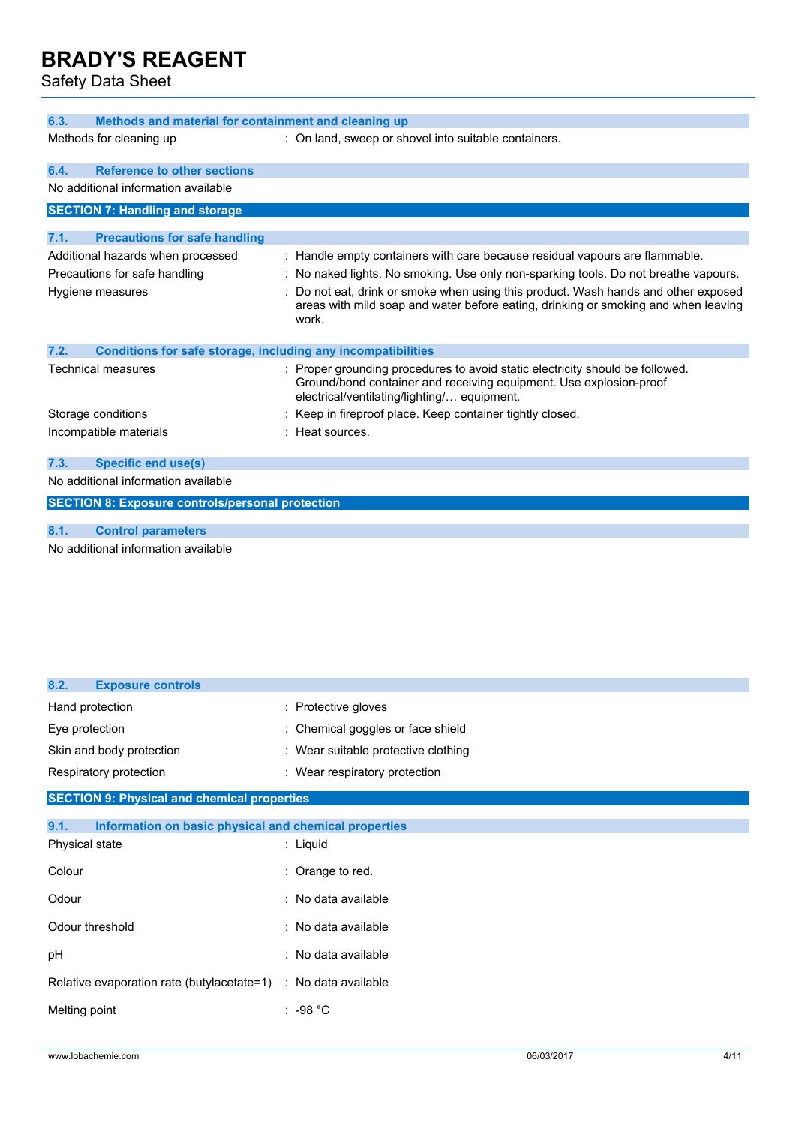Safety Data Sheet

| 6.3.<br>Methods and material for containment and cleaning up         |                                                                                                                                                                                                  |  |  |
|----------------------------------------------------------------------|--------------------------------------------------------------------------------------------------------------------------------------------------------------------------------------------------|--|--|
| Methods for cleaning up                                              | : On land, sweep or shovel into suitable containers.                                                                                                                                             |  |  |
| <b>Reference to other sections</b><br>6.4.                           |                                                                                                                                                                                                  |  |  |
| No additional information available                                  |                                                                                                                                                                                                  |  |  |
| <b>SECTION 7: Handling and storage</b>                               |                                                                                                                                                                                                  |  |  |
| 7.1.<br><b>Precautions for safe handling</b>                         |                                                                                                                                                                                                  |  |  |
| Additional hazards when processed                                    | : Handle empty containers with care because residual vapours are flammable.                                                                                                                      |  |  |
| Precautions for safe handling                                        | : No naked lights. No smoking. Use only non-sparking tools. Do not breathe vapours.                                                                                                              |  |  |
| Hygiene measures                                                     | Do not eat, drink or smoke when using this product. Wash hands and other exposed<br>areas with mild soap and water before eating, drinking or smoking and when leaving<br>work.                  |  |  |
| 7.2.<br>Conditions for safe storage, including any incompatibilities |                                                                                                                                                                                                  |  |  |
| Technical measures                                                   | Proper grounding procedures to avoid static electricity should be followed.<br>Ground/bond container and receiving equipment. Use explosion-proof<br>electrical/ventilating/lighting/ equipment. |  |  |
| Storage conditions                                                   | Keep in fireproof place. Keep container tightly closed.                                                                                                                                          |  |  |
| Incompatible materials                                               | : Heat sources.                                                                                                                                                                                  |  |  |
| <b>Specific end use(s)</b><br>7.3.                                   |                                                                                                                                                                                                  |  |  |
| No additional information available                                  |                                                                                                                                                                                                  |  |  |
| <b>SECTION 8: Exposure controls/personal protection</b>              |                                                                                                                                                                                                  |  |  |
| 8.1.<br><b>Control parameters</b>                                    |                                                                                                                                                                                                  |  |  |

No additional information available

| 8.2.<br><b>Exposure controls</b>                              |                                     |
|---------------------------------------------------------------|-------------------------------------|
| Hand protection                                               | : Protective gloves                 |
| Eye protection                                                | : Chemical goggles or face shield   |
| Skin and body protection                                      | : Wear suitable protective clothing |
| Respiratory protection                                        | : Wear respiratory protection       |
| <b>SECTION 9: Physical and chemical properties</b>            |                                     |
| 9.1.<br>Information on basic physical and chemical properties |                                     |
| Physical state                                                | $:$ Liquid                          |
| Colour                                                        | : Orange to red.                    |
| Odour                                                         | : No data available                 |
| Odour threshold                                               | : No data available                 |
| pH                                                            | : No data available                 |
| Relative evaporation rate (butylacetate=1)                    | : No data available                 |
| Melting point                                                 | ∶ -98 °C                            |
|                                                               |                                     |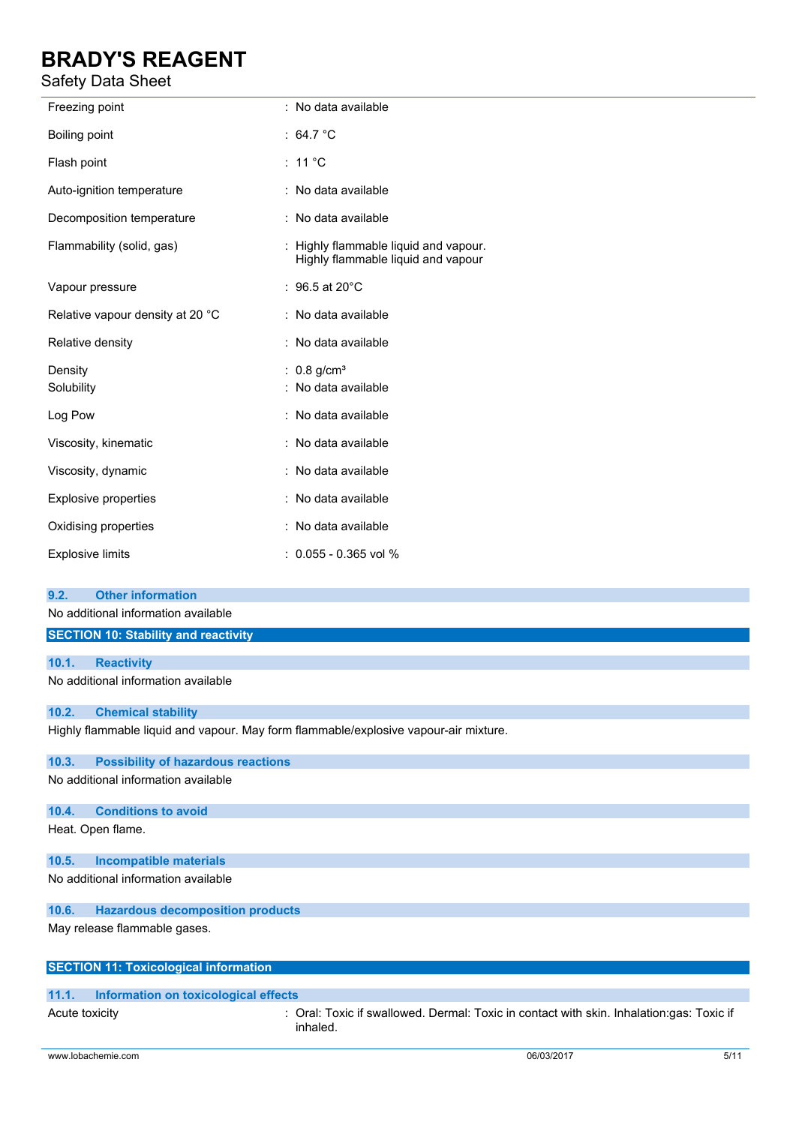### Safety Data Sheet

| Freezing point                   | : No data available                                                         |
|----------------------------------|-----------------------------------------------------------------------------|
| Boiling point                    | : 64.7 $^{\circ}$ C                                                         |
| Flash point                      | : 11 $^{\circ}$ C                                                           |
| Auto-ignition temperature        | : No data available                                                         |
| Decomposition temperature        | : No data available                                                         |
| Flammability (solid, gas)        | : Highly flammable liquid and vapour.<br>Highly flammable liquid and vapour |
| Vapour pressure                  | : $96.5$ at 20 $^{\circ}$ C                                                 |
| Relative vapour density at 20 °C | : No data available                                                         |
| Relative density                 | : No data available                                                         |
| Density<br>Solubility            | : $0.8$ g/cm <sup>3</sup><br>: No data available                            |
| Log Pow                          | : No data available                                                         |
| Viscosity, kinematic             | : No data available                                                         |
| Viscosity, dynamic               | : No data available                                                         |
| <b>Explosive properties</b>      | : No data available                                                         |
| Oxidising properties             | : No data available                                                         |
| <b>Explosive limits</b>          | $: 0.055 - 0.365$ vol %                                                     |

#### **9.2. Other information**

No additional information available

| SECTION 10: Stability and reactivity |                   |  |  |
|--------------------------------------|-------------------|--|--|
|                                      |                   |  |  |
| 10.1.                                | <b>Reactivity</b> |  |  |
| No additional information available  |                   |  |  |

#### **10.2. Chemical stability**

Highly flammable liquid and vapour. May form flammable/explosive vapour-air mixture.

#### **10.3. Possibility of hazardous reactions**

No additional information available

#### **10.4. Conditions to avoid**

Heat. Open flame.

### **10.5. Incompatible materials**

No additional information available

#### **10.6. Hazardous decomposition products**

May release flammable gases.

| <b>SECTION 11: Toxicological information</b> |  |
|----------------------------------------------|--|
|----------------------------------------------|--|

#### **11.1. Information on toxicological effects**

Acute toxicity **interpretatal contact in Crack**: Oral: Toxic if swallowed. Dermal: Toxic in contact with skin. Inhalation:gas: Toxic if inhaled.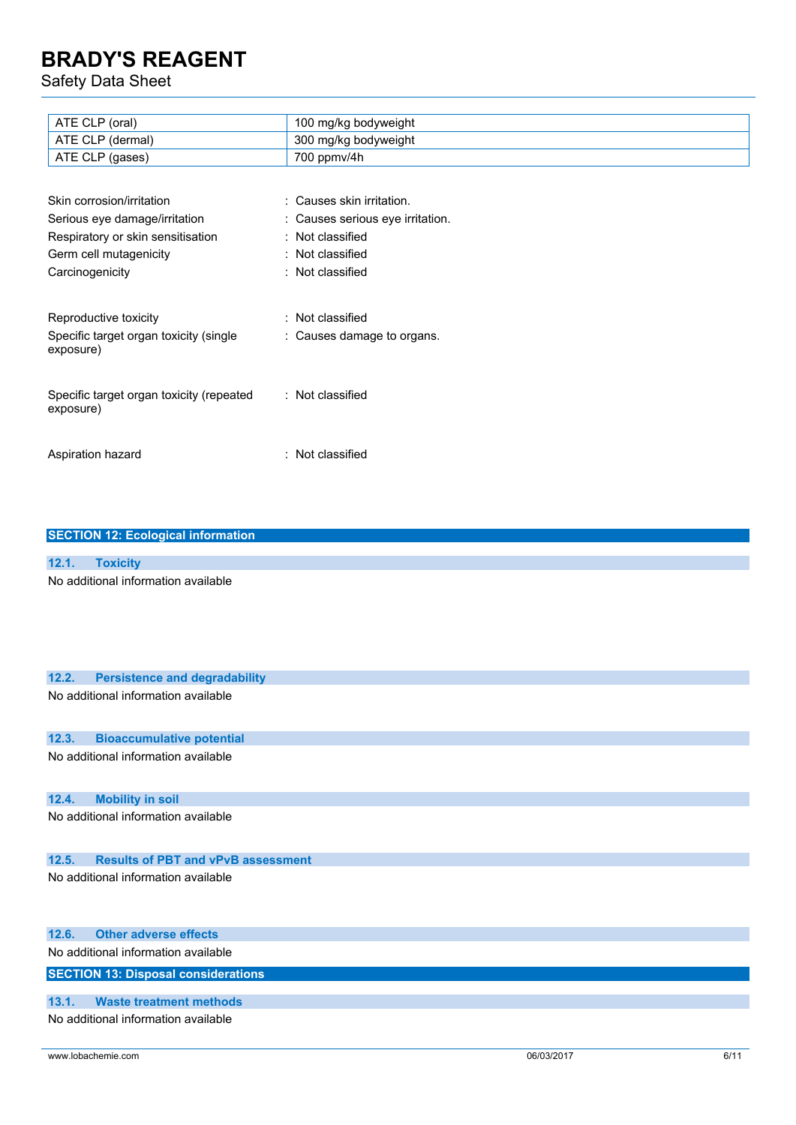Safety Data Sheet

| ATE CLP (oral)                           | 100 mg/kg bodyweight             |
|------------------------------------------|----------------------------------|
| ATE CLP (dermal)                         | 300 mg/kg bodyweight             |
| ATE CLP (gases)                          | 700 ppmv/4h                      |
|                                          |                                  |
| Skin corrosion/irritation                | : Causes skin irritation.        |
| Serious eye damage/irritation            | : Causes serious eye irritation. |
| Respiratory or skin sensitisation        | : Not classified                 |
| Germ cell mutagenicity                   | : Not classified                 |
| Carcinogenicity                          | : Not classified                 |
|                                          |                                  |
| Reproductive toxicity                    | : Not classified                 |
| Specific target organ toxicity (single   | : Causes damage to organs.       |
| exposure)                                |                                  |
|                                          |                                  |
| Specific target organ toxicity (repeated | : Not classified                 |
| exposure)                                |                                  |
|                                          |                                  |
|                                          |                                  |
| Aspiration hazard                        | : Not classified                 |
|                                          |                                  |

| <b>SECTION 12: Ecological information</b> |                 |  |  |
|-------------------------------------------|-----------------|--|--|
|                                           |                 |  |  |
| 12.1.                                     | <b>Toxicity</b> |  |  |
| No additional information available       |                 |  |  |

| 12.2.                               | <b>Persistence and degradability</b>       |            |      |
|-------------------------------------|--------------------------------------------|------------|------|
| No additional information available |                                            |            |      |
|                                     |                                            |            |      |
|                                     |                                            |            |      |
| 12.3.                               | <b>Bioaccumulative potential</b>           |            |      |
|                                     | No additional information available        |            |      |
|                                     |                                            |            |      |
| 12.4.                               | <b>Mobility in soil</b>                    |            |      |
|                                     | No additional information available        |            |      |
|                                     |                                            |            |      |
|                                     |                                            |            |      |
| 12.5.                               | <b>Results of PBT and vPvB assessment</b>  |            |      |
|                                     | No additional information available        |            |      |
|                                     |                                            |            |      |
|                                     |                                            |            |      |
| 12.6.                               | <b>Other adverse effects</b>               |            |      |
|                                     | No additional information available        |            |      |
|                                     |                                            |            |      |
|                                     | <b>SECTION 13: Disposal considerations</b> |            |      |
| 13.1.                               | <b>Waste treatment methods</b>             |            |      |
|                                     | No additional information available        |            |      |
|                                     |                                            |            |      |
|                                     | www.lobachemie.com                         | 06/03/2017 | 6/11 |
|                                     |                                            |            |      |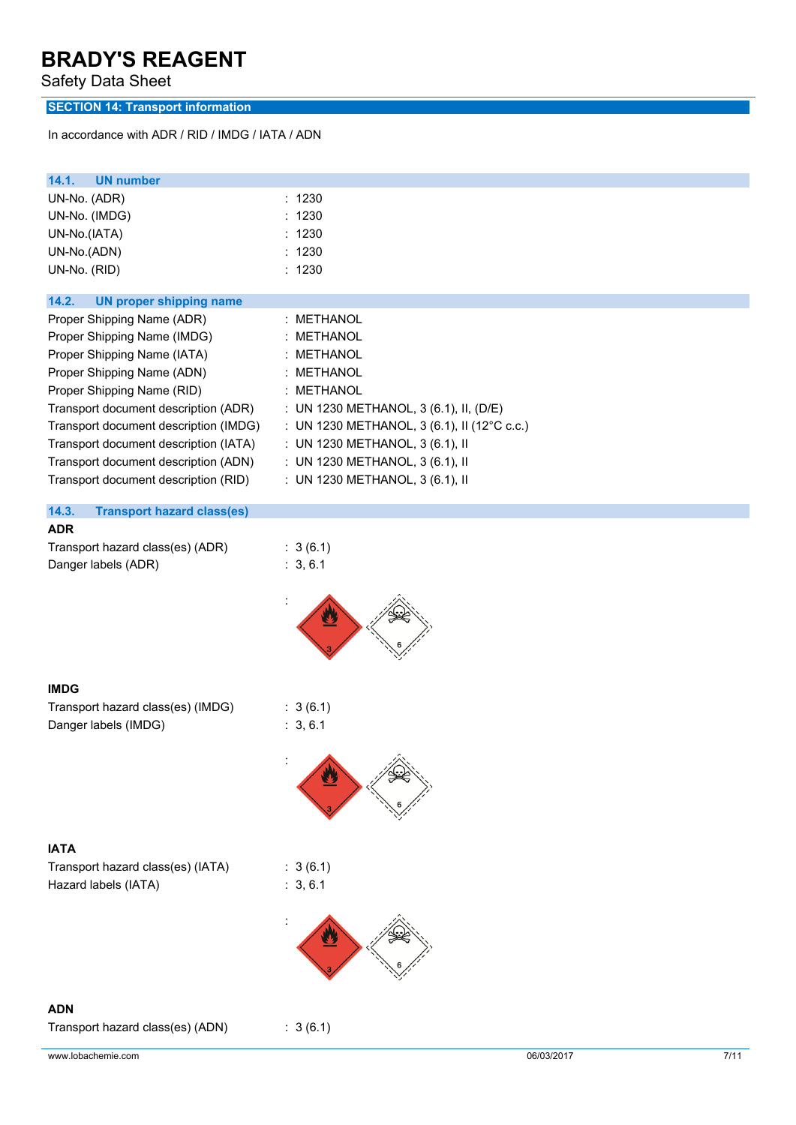Safety Data Sheet

### **SECTION 14: Transport information**

In accordance with ADR / RID / IMDG / IATA / ADN

| 14.1.<br><b>UN number</b>                  |                                             |
|--------------------------------------------|---------------------------------------------|
| UN-No. (ADR)                               | : 1230                                      |
| UN-No. (IMDG)                              | 1230                                        |
| UN-No.(IATA)                               | : 1230                                      |
| UN-No.(ADN)                                | 1230<br>÷                                   |
| UN-No. (RID)                               | : 1230                                      |
|                                            |                                             |
| 14.2.<br><b>UN proper shipping name</b>    |                                             |
| Proper Shipping Name (ADR)                 | : METHANOL                                  |
| Proper Shipping Name (IMDG)                | <b>METHANOL</b>                             |
| Proper Shipping Name (IATA)                | <b>METHANOL</b><br>÷.                       |
| Proper Shipping Name (ADN)                 | <b>METHANOL</b><br>÷                        |
| Proper Shipping Name (RID)                 | : METHANOL                                  |
| Transport document description (ADR)       | : UN 1230 METHANOL, 3 (6.1), II, (D/E)      |
| Transport document description (IMDG)      | : UN 1230 METHANOL, 3 (6.1), II (12°C c.c.) |
| Transport document description (IATA)      | : UN 1230 METHANOL, 3 (6.1), II             |
| Transport document description (ADN)       | : UN 1230 METHANOL, 3 (6.1), II             |
| Transport document description (RID)       | : UN 1230 METHANOL, 3 (6.1), II             |
|                                            |                                             |
| 14.3.<br><b>Transport hazard class(es)</b> |                                             |
| <b>ADR</b>                                 |                                             |
| Transport hazard class(es) (ADR)           | : 3(6.1)                                    |
| Danger labels (ADR)                        | : 3, 6.1                                    |
|                                            |                                             |
| <b>IMDG</b>                                |                                             |
| Transport hazard class(es) (IMDG)          | : 3(6.1)                                    |
| Danger labels (IMDG)                       | : 3, 6.1                                    |
|                                            |                                             |
|                                            | ▲                                           |
| <b>IATA</b>                                |                                             |
| Transport hazard class(es) (IATA)          | : 3(6.1)                                    |
| Hazard labels (IATA)                       | : 3, 6.1                                    |
|                                            |                                             |
|                                            |                                             |
| <b>ADN</b>                                 |                                             |
| Transport hazard class(es) (ADN)           | : 3(6.1)                                    |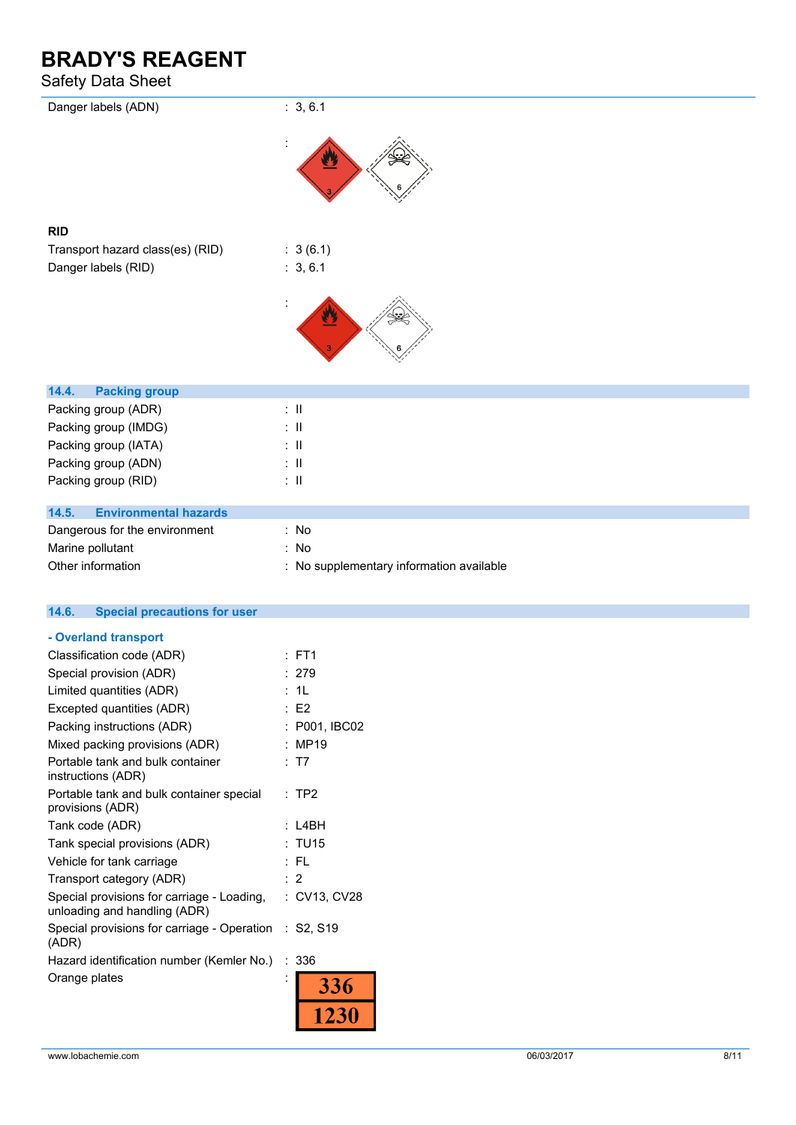### Safety Data Sheet

| -----                                        |                                          |
|----------------------------------------------|------------------------------------------|
| Danger labels (ADN)                          | : 3, 6.1                                 |
|                                              |                                          |
| <b>RID</b>                                   |                                          |
| Transport hazard class(es) (RID)             | : 3(6.1)                                 |
| Danger labels (RID)                          | : 3, 6.1                                 |
|                                              |                                          |
|                                              |                                          |
| 14.4.<br><b>Packing group</b>                |                                          |
| Packing group (ADR)                          | $:$ $\mathbb{I}$                         |
| Packing group (IMDG)                         | $\therefore$ 11                          |
| Packing group (IATA)                         | $\therefore$ 11                          |
| Packing group (ADN)                          | $\therefore$ 11                          |
| Packing group (RID)                          | $\colon$ $\ensuremath{\mathsf{II}}$      |
| 14.5.<br><b>Environmental hazards</b>        |                                          |
| Dangerous for the environment                | : No                                     |
| Marine pollutant                             | : No                                     |
| Other information                            | : No supplementary information available |
| <b>Special precautions for user</b><br>14.6. |                                          |

| 14.6. | Special precautions for use |  |  |
|-------|-----------------------------|--|--|
|       |                             |  |  |

| - Overland transport                                                       |                 |
|----------------------------------------------------------------------------|-----------------|
| Classification code (ADR)                                                  | $:$ FT1         |
| Special provision (ADR)                                                    | : 279           |
| Limited quantities (ADR)                                                   | : 11            |
| Excepted quantities (ADR)                                                  | : E2            |
| Packing instructions (ADR)                                                 | : P001, IBC02   |
| Mixed packing provisions (ADR)                                             | : MP19          |
| Portable tank and bulk container<br>instructions (ADR)                     | T7              |
| Portable tank and bulk container special<br>provisions (ADR)               | TP <sub>2</sub> |
| Tank code (ADR)                                                            | L4BH            |
| Tank special provisions (ADR)                                              | : TU15          |
| Vehicle for tank carriage                                                  | : FL            |
| Transport category (ADR)                                                   | $\cdot$ 2       |
| Special provisions for carriage - Loading,<br>unloading and handling (ADR) | : CV13, CV28    |
| Special provisions for carriage - Operation : S2, S19<br>(ADR)             |                 |
| Hazard identification number (Kemler No.)                                  | :336            |
| Orange plates                                                              | 336             |
|                                                                            |                 |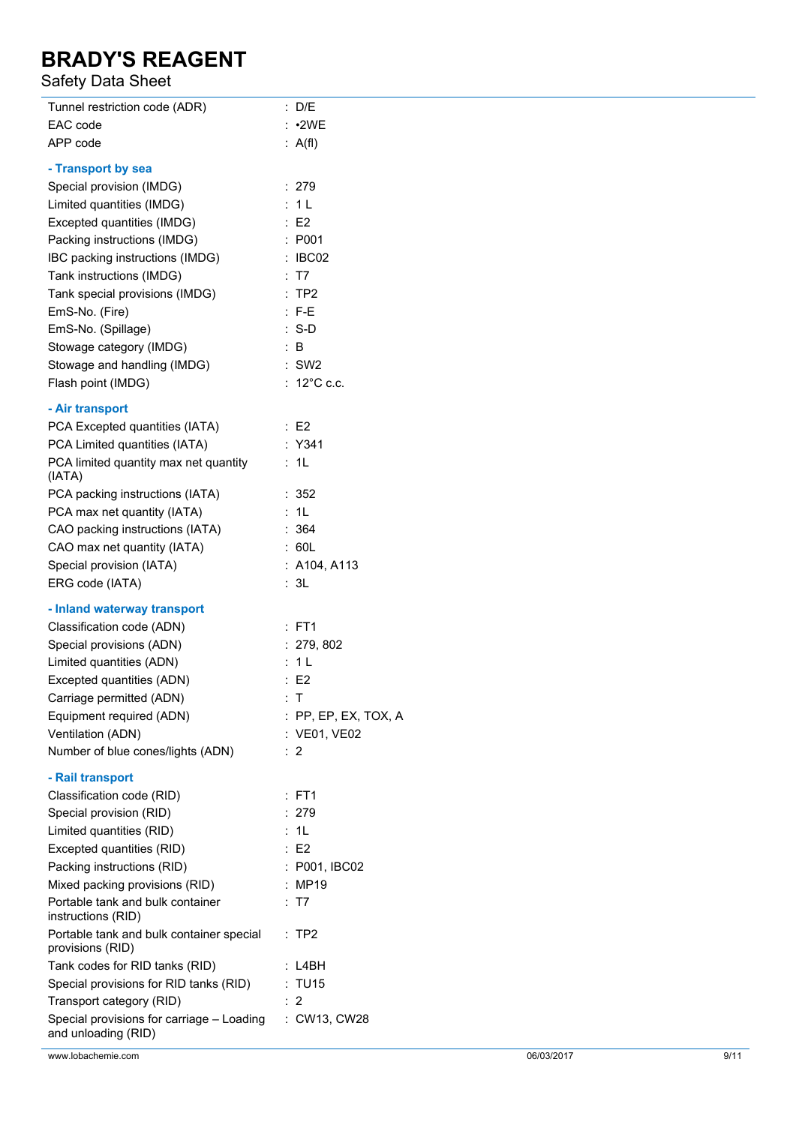### Safety Data Sheet

| Tunnel restriction code (ADR)                                    | : D/E                  |
|------------------------------------------------------------------|------------------------|
| EAC code                                                         | : 2WE                  |
| APP code                                                         | : $A(f)$               |
| - Transport by sea                                               |                        |
| Special provision (IMDG)                                         | : 279                  |
| Limited quantities (IMDG)                                        | : 1L                   |
| Excepted quantities (IMDG)                                       | : E2                   |
| Packing instructions (IMDG)                                      | : P001                 |
| IBC packing instructions (IMDG)                                  | : IBC02                |
| Tank instructions (IMDG)                                         | : T7                   |
| Tank special provisions (IMDG)                                   | :TP2                   |
| EmS-No. (Fire)                                                   | $: F-E$                |
|                                                                  |                        |
| EmS-No. (Spillage)                                               | $: S-D$                |
| Stowage category (IMDG)                                          | $\therefore$ B         |
| Stowage and handling (IMDG)                                      | $:$ SW2                |
| Flash point (IMDG)                                               | : $12^{\circ}$ C c.c.  |
| - Air transport                                                  |                        |
| PCA Excepted quantities (IATA)                                   | $\therefore$ E2        |
| PCA Limited quantities (IATA)                                    | : Y341                 |
| PCA limited quantity max net quantity                            | : 1L                   |
| (IATA)                                                           |                        |
| PCA packing instructions (IATA)                                  | :352                   |
| PCA max net quantity (IATA)                                      | : 1L                   |
| CAO packing instructions (IATA)                                  | : 364                  |
| CAO max net quantity (IATA)                                      | : 60L                  |
| Special provision (IATA)                                         | : A104, A113           |
| ERG code (IATA)                                                  | : 3L                   |
|                                                                  |                        |
| - Inland waterway transport                                      |                        |
| Classification code (ADN)                                        | : FT1                  |
| Special provisions (ADN)                                         | : 279, 802             |
| Limited quantities (ADN)                                         | : 1L                   |
| Excepted quantities (ADN)                                        | E2                     |
| Carriage permitted (ADN)                                         | T.                     |
| Equipment required (ADN)                                         | $:$ PP, EP, EX, TOX, A |
| Ventilation (ADN)                                                | : VE01, VE02           |
| Number of blue cones/lights (ADN)                                | :2                     |
| - Rail transport                                                 |                        |
| Classification code (RID)                                        | : FT1                  |
| Special provision (RID)                                          | : 279                  |
| Limited quantities (RID)                                         | 1L                     |
| Excepted quantities (RID)                                        | E2                     |
| Packing instructions (RID)                                       | : P001, IBC02          |
| Mixed packing provisions (RID)                                   | : MP19                 |
| Portable tank and bulk container                                 | : T7                   |
| instructions (RID)                                               |                        |
| Portable tank and bulk container special<br>provisions (RID)     | $:$ TP2                |
| Tank codes for RID tanks (RID)                                   | : L4BH                 |
| Special provisions for RID tanks (RID)                           | : TU15                 |
| Transport category (RID)                                         | :2                     |
| Special provisions for carriage - Loading<br>and unloading (RID) | : CW13, CW28           |

www.lobachemie.com 06/03/2017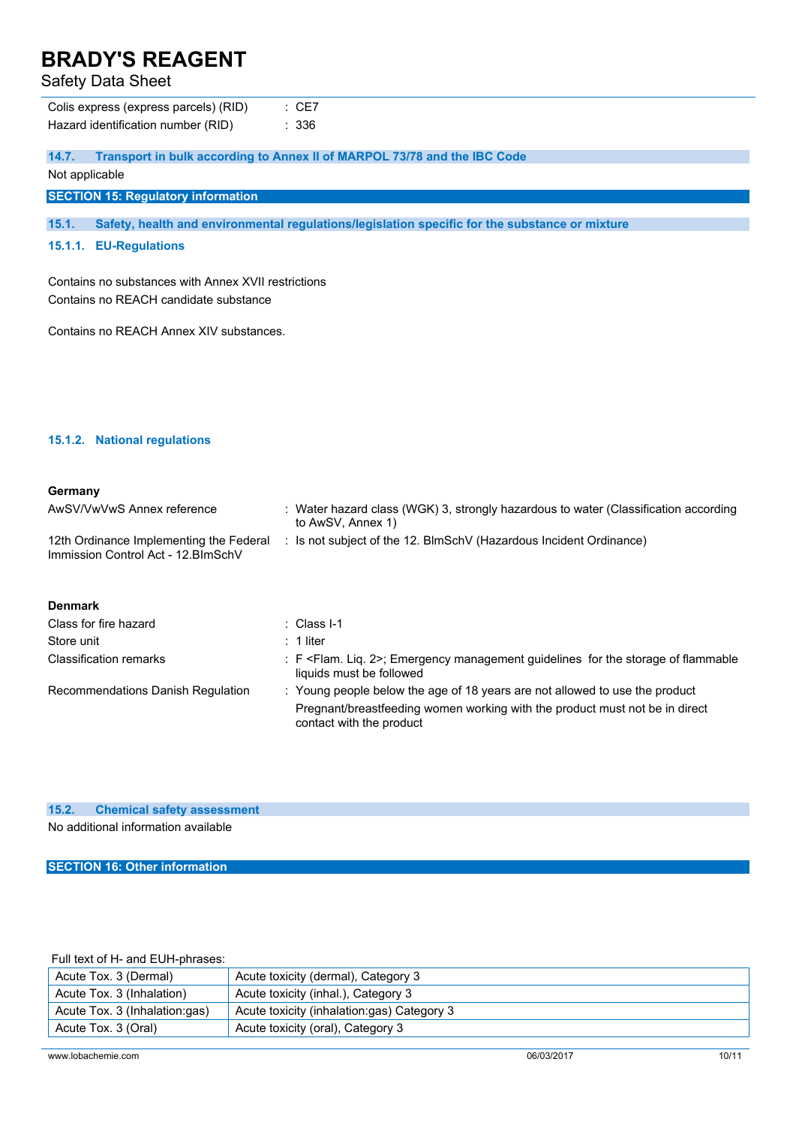Safety Data Sheet

**14.7. Transport in bulk according to Annex II of MARPOL 73/78 and the IBC Code**

Not applicable

**SECTION 15: Regulatory information**

**15.1. Safety, health and environmental regulations/legislation specific for the substance or mixture**

### **15.1.1. EU-Regulations**

Contains no substances with Annex XVII restrictions Contains no REACH candidate substance

Contains no REACH Annex XIV substances.

#### **15.1.2. National regulations**

#### **Germany**

| AwSV/VwVwS Annex reference                                                     | : Water hazard class (WGK) 3, strongly hazardous to water (Classification according<br>to AwSV, Annex 1) |
|--------------------------------------------------------------------------------|----------------------------------------------------------------------------------------------------------|
| 12th Ordinance Implementing the Federal<br>Immission Control Act - 12. BlmSchV | : Is not subject of the 12. BlmSchV (Hazardous Incident Ordinance)                                       |
| <b>Denmark</b>                                                                 |                                                                                                          |
| Class for fire hazard                                                          | : Class I-1                                                                                              |

| Class for fire hazard             | $\therefore$ Class I-1                                                                                                      |
|-----------------------------------|-----------------------------------------------------------------------------------------------------------------------------|
| Store unit                        | $: 1$ liter                                                                                                                 |
| Classification remarks            | : F <flam. 2="" liq.="">; Emergency management guidelines for the storage of flammable<br/>liquids must be followed</flam.> |
| Recommendations Danish Regulation | : Young people below the age of 18 years are not allowed to use the product                                                 |
|                                   | Pregnant/breastfeeding women working with the product must not be in direct<br>contact with the product                     |

#### **15.2. Chemical safety assessment**

No additional information available

**SECTION 16: Other information**

Full text of H- and EUH-phrases:

| Acute Tox. 3 (Dermal)         | Acute toxicity (dermal), Category 3        |
|-------------------------------|--------------------------------------------|
| Acute Tox. 3 (Inhalation)     | Acute toxicity (inhal.), Category 3        |
| Acute Tox. 3 (Inhalation:gas) | Acute toxicity (inhalation:gas) Category 3 |
| Acute Tox. 3 (Oral)           | Acute toxicity (oral), Category 3          |
|                               |                                            |